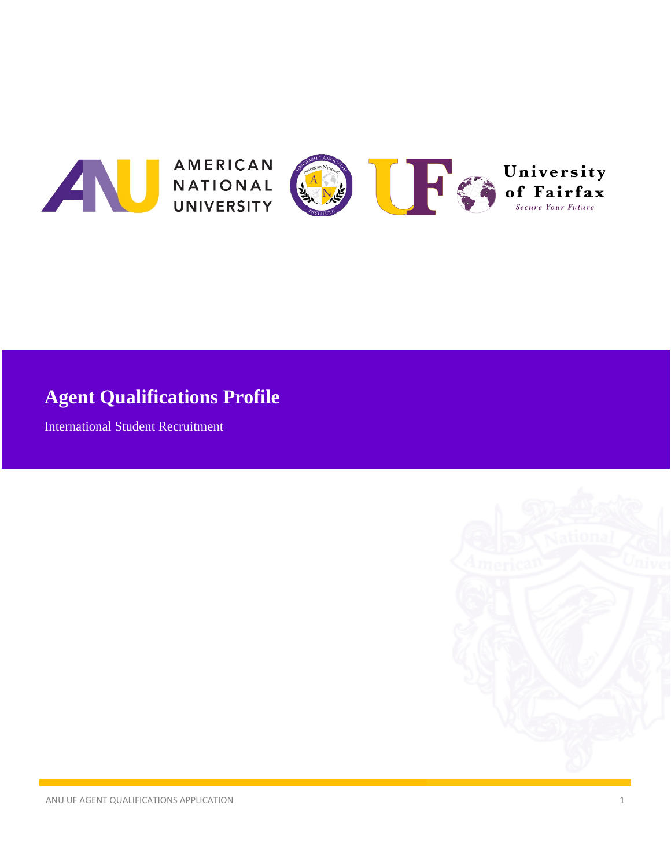

# **Agent Qualifications Profile**

International Student Recruitment

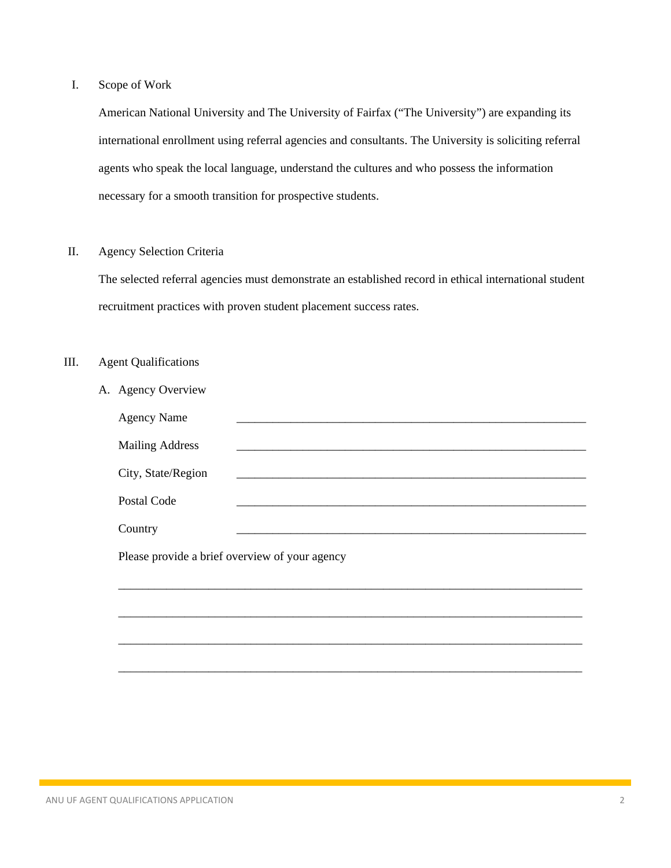### I. Scope of Work

American National University and The University of Fairfax ("The University") are expanding its international enrollment using referral agencies and consultants. The University is soliciting referral agents who speak the local language, understand the cultures and who possess the information necessary for a smooth transition for prospective students.

#### II. Agency Selection Criteria

The selected referral agencies must demonstrate an established record in ethical international student recruitment practices with proven student placement success rates.

#### III. Agent Qualifications

| A. Agency Overview                             |                                                                                                                        |  |  |  |
|------------------------------------------------|------------------------------------------------------------------------------------------------------------------------|--|--|--|
| <b>Agency Name</b>                             |                                                                                                                        |  |  |  |
| <b>Mailing Address</b>                         | <u> 1989 - Johann John Stoff, deutscher Stoffen und der Stoffen und der Stoffen und der Stoffen und der Stoffen un</u> |  |  |  |
| City, State/Region                             |                                                                                                                        |  |  |  |
| Postal Code                                    |                                                                                                                        |  |  |  |
| Country                                        | <u> 1980 - Johann John Stone, mars eta bat eta bat eta bat eta bat ez arte eta bat ez arte eta bat ez arte eta b</u>   |  |  |  |
| Please provide a brief overview of your agency |                                                                                                                        |  |  |  |
|                                                |                                                                                                                        |  |  |  |
|                                                |                                                                                                                        |  |  |  |
|                                                |                                                                                                                        |  |  |  |
|                                                |                                                                                                                        |  |  |  |
|                                                |                                                                                                                        |  |  |  |
|                                                |                                                                                                                        |  |  |  |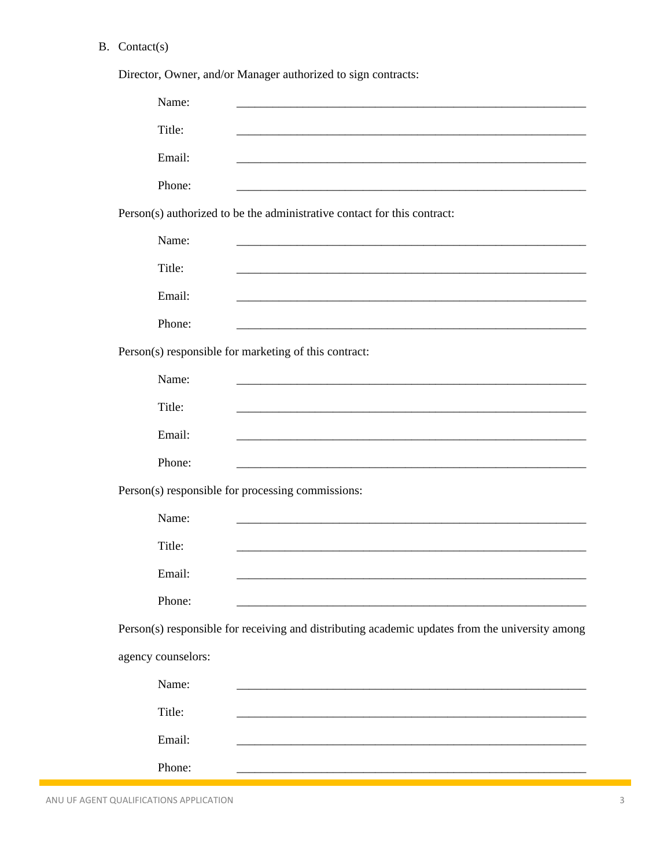## B. Contact(s)

|                    | Director, Owner, and/or Manager authorized to sign contracts:                                                         |
|--------------------|-----------------------------------------------------------------------------------------------------------------------|
| Name:              |                                                                                                                       |
| Title:             |                                                                                                                       |
| Email:             |                                                                                                                       |
| Phone:             |                                                                                                                       |
|                    | Person(s) authorized to be the administrative contact for this contract:                                              |
| Name:              |                                                                                                                       |
| Title:             |                                                                                                                       |
| Email:             |                                                                                                                       |
| Phone:             | <u> 1980 - Johann Barn, mars ann an t-Amhain an t-Amhain an t-Amhain an t-Amhain an t-Amhain an t-Amhain an t-Amh</u> |
|                    | Person(s) responsible for marketing of this contract:                                                                 |
| Name:              |                                                                                                                       |
| Title:             |                                                                                                                       |
| Email:             |                                                                                                                       |
| Phone:             | <u> 1989 - Johann Barbara, martin amerikan basar dan berasal dalam berasal dalam basar dalam basar dalam basar da</u> |
|                    | Person(s) responsible for processing commissions:                                                                     |
| Name:              |                                                                                                                       |
| Title:             |                                                                                                                       |
| Email:             |                                                                                                                       |
| Phone:             |                                                                                                                       |
|                    | Person(s) responsible for receiving and distributing academic updates from the university among                       |
| agency counselors: |                                                                                                                       |
| Name:              |                                                                                                                       |
| Title:             |                                                                                                                       |
| Email:             |                                                                                                                       |
| Phone:             |                                                                                                                       |

ANU UF AGENT QUALIFICATIONS APPLICATION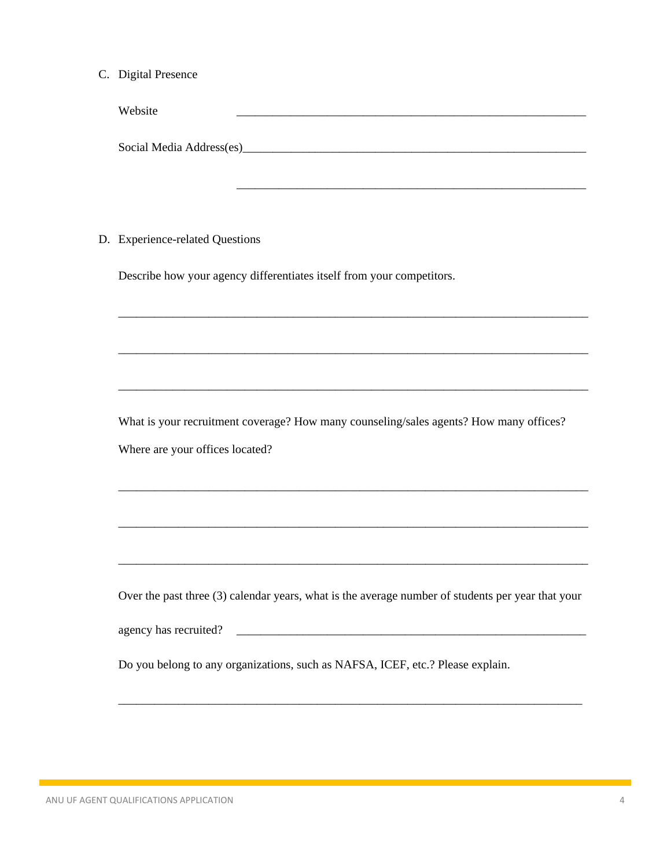C. Digital Presence

| Website                  |  |  |  |
|--------------------------|--|--|--|
|                          |  |  |  |
|                          |  |  |  |
| Social Media Address(es) |  |  |  |

\_\_\_\_\_\_\_\_\_\_\_\_\_\_\_\_\_\_\_\_\_\_\_\_\_\_\_\_\_\_\_\_\_\_\_\_\_\_\_\_\_\_\_\_\_\_\_\_\_\_\_\_\_\_\_\_\_\_

D. Experience-related Questions

Describe how your agency differentiates itself from your competitors.

What is your recruitment coverage? How many counseling/sales agents? How many offices? Where are your offices located?

\_\_\_\_\_\_\_\_\_\_\_\_\_\_\_\_\_\_\_\_\_\_\_\_\_\_\_\_\_\_\_\_\_\_\_\_\_\_\_\_\_\_\_\_\_\_\_\_\_\_\_\_\_\_\_\_\_\_\_\_\_\_\_\_\_\_\_\_\_\_\_\_\_\_\_\_\_\_

\_\_\_\_\_\_\_\_\_\_\_\_\_\_\_\_\_\_\_\_\_\_\_\_\_\_\_\_\_\_\_\_\_\_\_\_\_\_\_\_\_\_\_\_\_\_\_\_\_\_\_\_\_\_\_\_\_\_\_\_\_\_\_\_\_\_\_\_\_\_\_\_\_\_\_\_\_\_

\_\_\_\_\_\_\_\_\_\_\_\_\_\_\_\_\_\_\_\_\_\_\_\_\_\_\_\_\_\_\_\_\_\_\_\_\_\_\_\_\_\_\_\_\_\_\_\_\_\_\_\_\_\_\_\_\_\_\_\_\_\_\_\_\_\_\_\_\_\_\_\_\_\_\_\_\_\_

\_\_\_\_\_\_\_\_\_\_\_\_\_\_\_\_\_\_\_\_\_\_\_\_\_\_\_\_\_\_\_\_\_\_\_\_\_\_\_\_\_\_\_\_\_\_\_\_\_\_\_\_\_\_\_\_\_\_\_\_\_\_\_\_\_\_\_\_\_\_\_\_\_\_\_\_\_\_

\_\_\_\_\_\_\_\_\_\_\_\_\_\_\_\_\_\_\_\_\_\_\_\_\_\_\_\_\_\_\_\_\_\_\_\_\_\_\_\_\_\_\_\_\_\_\_\_\_\_\_\_\_\_\_\_\_\_\_\_\_\_\_\_\_\_\_\_\_\_\_\_\_\_\_\_\_\_

\_\_\_\_\_\_\_\_\_\_\_\_\_\_\_\_\_\_\_\_\_\_\_\_\_\_\_\_\_\_\_\_\_\_\_\_\_\_\_\_\_\_\_\_\_\_\_\_\_\_\_\_\_\_\_\_\_\_\_\_\_\_\_\_\_\_\_\_\_\_\_\_\_\_\_\_\_\_

Over the past three (3) calendar years, what is the average number of students per year that your

\_\_\_\_\_\_\_\_\_\_\_\_\_\_\_\_\_\_\_\_\_\_\_\_\_\_\_\_\_\_\_\_\_\_\_\_\_\_\_\_\_\_\_\_\_\_\_\_\_\_\_\_\_\_\_\_\_\_\_\_\_\_\_\_\_\_\_\_\_\_\_\_\_\_\_\_\_

agency has recruited? \_\_\_\_\_\_\_\_\_\_\_\_\_\_\_\_\_\_\_\_\_\_\_\_\_\_\_\_\_\_\_\_\_\_\_\_\_\_\_\_\_\_\_\_\_\_\_\_\_\_\_\_\_\_\_\_\_\_

Do you belong to any organizations, such as NAFSA, ICEF, etc.? Please explain.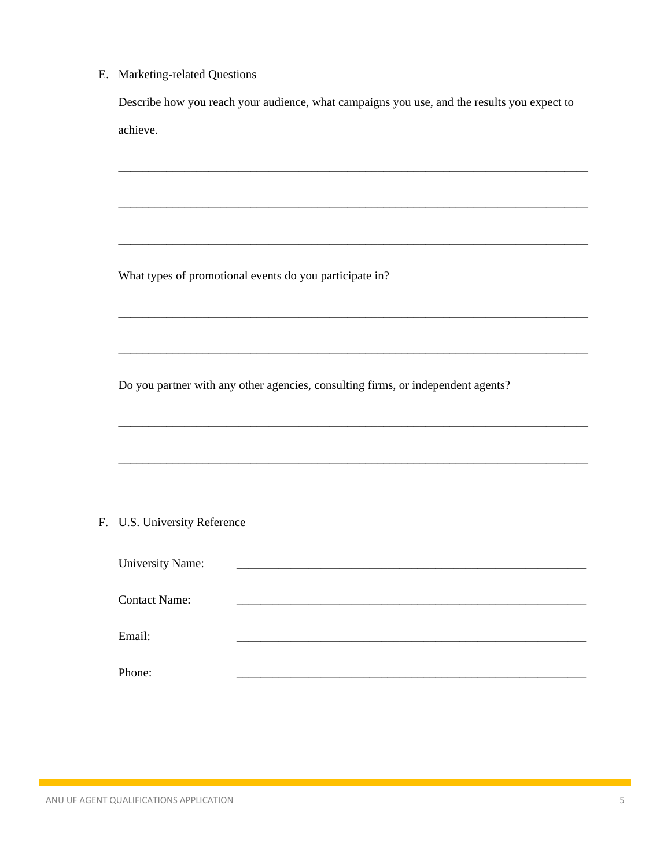E. Marketing-related Questions

Describe how you reach your audience, what campaigns you use, and the results you expect to achieve.

What types of promotional events do you participate in?

Do you partner with any other agencies, consulting firms, or independent agents?

#### F. U.S. University Reference

| <b>University Name:</b> |  |
|-------------------------|--|
| <b>Contact Name:</b>    |  |
| Email:                  |  |
| Phone:                  |  |